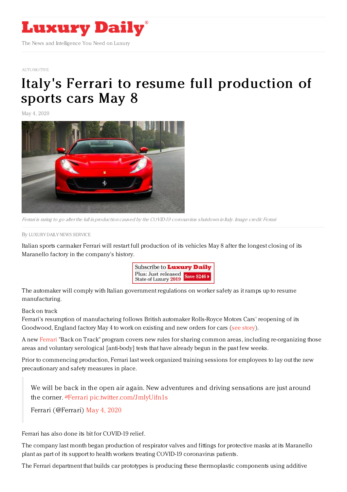

## [AUTOMOTIVE](https://www.luxurydaily.com/category/sectors/automotive-industry-sectors/)

## Italy's Ferrari to resume full [production](https://www.luxurydaily.com/italys-ferrari-to-resume-full-production-of-sports-cars-may-8/) of sports cars May 8

May 4, 2020



Ferrari is raring to go after the lull in production caused by the COVID-19 coronavirus shutdown in Italy. Image credit: Ferrari

By LUXURY DAILY NEWS [SERVICE](file:///author/luxury-daily-news-service)

Italian sports carmaker Ferrari will restart full production of its vehicles May 8 after the longest closing of its Maranello factory in the company's history.



The automaker will comply with Italian government regulations on worker safety as it ramps up to resume manufacturing.

## Back on track

Ferrari's resumption of manufacturing follows British automaker Rolls-Royce Motors Cars' reopening of its Goodwood, England factory May 4 to work on existing and new orders for cars (see [story](https://www.luxurydaily.com/rolls-royce-motor-cars-resumes-production-on-anniversary-of-founders-meeting/)).

A new [Ferrari](http://www.ferrari.com) "Back on Track" program covers new rules for sharing common areas, including re-organizing those areas and voluntary serological [anti-body] tests that have already begun in the past few weeks.

Prior to commencing production, Ferrari last week organized training sessions for employees to lay out the new precautionary and safety measures in place.

We will be back in the open air again. New adventures and driving sensations are just around the corner. [#Ferrari](https://twitter.com/hashtag/Ferrari?src=hash&ref_src=twsrc%255Etfw) [pic.twitter.com/JmIyUifn1s](https://t.co/JmIyUifn1s)

Ferrari (@Ferrari) May 4, [2020](https://twitter.com/Ferrari/status/1257324240010952705?ref_src=twsrc%255Etfw)

Ferrari has also done its bit for COVID-19 relief.

The company last month began production of respirator valves and fittings for protective masks at its Maranello plant as part of its support to health workers treating COVID-19 coronavirus patients.

The Ferrari department that builds car prototypes is producing these thermoplastic components using additive